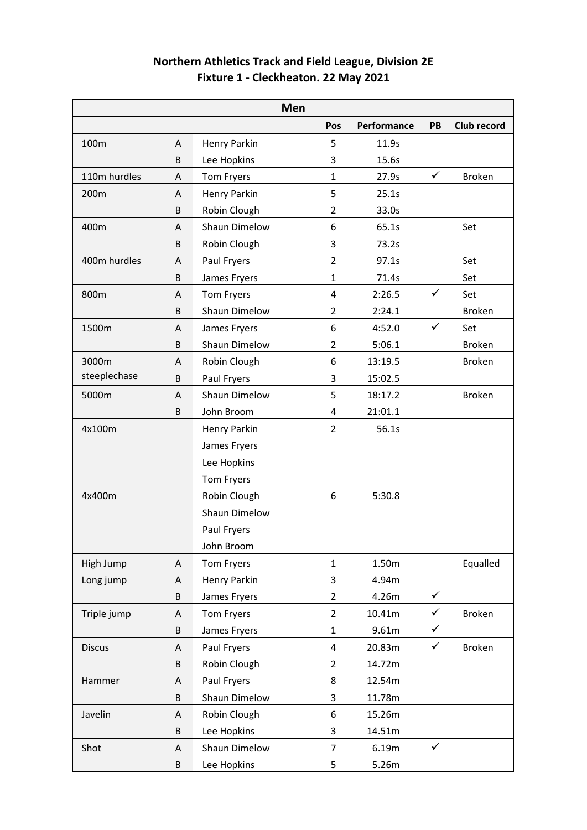| Northern Athletics Track and Field League, Division 2E |
|--------------------------------------------------------|
| Fixture 1 - Cleckheaton. 22 May 2021                   |

| Men           |   |                      |                |             |              |               |
|---------------|---|----------------------|----------------|-------------|--------------|---------------|
|               |   |                      | Pos            | Performance | PB           | Club record   |
| 100m          | A | Henry Parkin         | 5              | 11.9s       |              |               |
|               | B | Lee Hopkins          | 3              | 15.6s       |              |               |
| 110m hurdles  | A | Tom Fryers           | $\mathbf{1}$   | 27.9s       | $\checkmark$ | <b>Broken</b> |
| 200m          | A | Henry Parkin         | 5              | 25.1s       |              |               |
|               | B | Robin Clough         | $\overline{2}$ | 33.0s       |              |               |
| 400m          | A | Shaun Dimelow        | 6              | 65.1s       |              | Set           |
|               | B | Robin Clough         | 3              | 73.2s       |              |               |
| 400m hurdles  | A | Paul Fryers          | $\overline{2}$ | 97.1s       |              | Set           |
|               | B | James Fryers         | $\mathbf{1}$   | 71.4s       |              | Set           |
| 800m          | A | Tom Fryers           | $\overline{4}$ | 2:26.5      | $\checkmark$ | Set           |
|               | B | <b>Shaun Dimelow</b> | $\overline{2}$ | 2:24.1      |              | <b>Broken</b> |
| 1500m         | A | James Fryers         | 6              | 4:52.0      | $\checkmark$ | Set           |
|               | B | Shaun Dimelow        | $\overline{2}$ | 5:06.1      |              | <b>Broken</b> |
| 3000m         | A | Robin Clough         | 6              | 13:19.5     |              | <b>Broken</b> |
| steeplechase  | B | Paul Fryers          | 3              | 15:02.5     |              |               |
| 5000m         | A | Shaun Dimelow        | 5              | 18:17.2     |              | <b>Broken</b> |
|               | B | John Broom           | 4              | 21:01.1     |              |               |
| 4x100m        |   | Henry Parkin         | $\overline{2}$ | 56.1s       |              |               |
|               |   | James Fryers         |                |             |              |               |
|               |   | Lee Hopkins          |                |             |              |               |
|               |   | Tom Fryers           |                |             |              |               |
| 4x400m        |   | Robin Clough         | 6              | 5:30.8      |              |               |
|               |   | Shaun Dimelow        |                |             |              |               |
|               |   | Paul Fryers          |                |             |              |               |
|               |   | John Broom           |                |             |              |               |
| High Jump     | Α | Tom Fryers           | $\mathbf{1}$   | 1.50m       |              | Equalled      |
| Long jump     | Α | Henry Parkin         | $\mathbf{3}$   | 4.94m       |              |               |
|               | B | James Fryers         | $\overline{2}$ | 4.26m       | $\checkmark$ |               |
| Triple jump   | Α | Tom Fryers           | $\overline{2}$ | 10.41m      | $\checkmark$ | <b>Broken</b> |
|               | B | James Fryers         | $\mathbf 1$    | 9.61m       | $\checkmark$ |               |
| <b>Discus</b> | A | Paul Fryers          | 4              | 20.83m      | $\checkmark$ | <b>Broken</b> |
|               | B | Robin Clough         | $\overline{2}$ | 14.72m      |              |               |
| Hammer        | Α | Paul Fryers          | 8              | 12.54m      |              |               |
|               | B | Shaun Dimelow        | 3              | 11.78m      |              |               |
| Javelin       | Α | Robin Clough         | 6              | 15.26m      |              |               |
|               | B | Lee Hopkins          | 3              | 14.51m      |              |               |
| Shot          | A | Shaun Dimelow        | $\overline{7}$ | 6.19m       | $\checkmark$ |               |
|               | B | Lee Hopkins          | 5              | 5.26m       |              |               |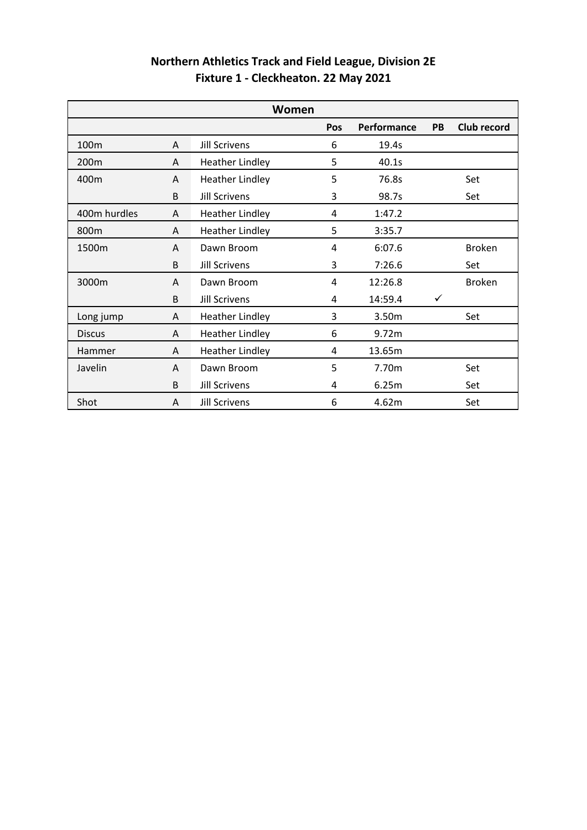| Northern Athletics Track and Field League, Division 2E |  |
|--------------------------------------------------------|--|
| Fixture 1 - Cleckheaton. 22 May 2021                   |  |

| Women            |   |                        |     |             |    |               |
|------------------|---|------------------------|-----|-------------|----|---------------|
|                  |   |                        | Pos | Performance | PB | Club record   |
| 100 <sub>m</sub> | A | <b>Jill Scrivens</b>   | 6   | 19.4s       |    |               |
| 200 <sub>m</sub> | A | <b>Heather Lindley</b> | 5   | 40.1s       |    |               |
| 400m             | A | <b>Heather Lindley</b> | 5   | 76.8s       |    | Set           |
|                  | B | <b>Jill Scrivens</b>   | 3   | 98.7s       |    | Set           |
| 400m hurdles     | A | <b>Heather Lindley</b> | 4   | 1:47.2      |    |               |
| 800m             | A | <b>Heather Lindley</b> | 5   | 3:35.7      |    |               |
| 1500m            | A | Dawn Broom             | 4   | 6:07.6      |    | <b>Broken</b> |
|                  | B | <b>Jill Scrivens</b>   | 3   | 7:26.6      |    | Set           |
| 3000m            | A | Dawn Broom             | 4   | 12:26.8     |    | <b>Broken</b> |
|                  | B | <b>Jill Scrivens</b>   | 4   | 14:59.4     | ✓  |               |
| Long jump        | A | <b>Heather Lindley</b> | 3   | 3.50m       |    | Set           |
| <b>Discus</b>    | A | <b>Heather Lindley</b> | 6   | 9.72m       |    |               |
| Hammer           | A | <b>Heather Lindley</b> | 4   | 13.65m      |    |               |
| Javelin          | A | Dawn Broom             | 5   | 7.70m       |    | Set           |
|                  | B | <b>Jill Scrivens</b>   | 4   | 6.25m       |    | Set           |
| Shot             | A | <b>Jill Scrivens</b>   | 6   | 4.62m       |    | Set           |